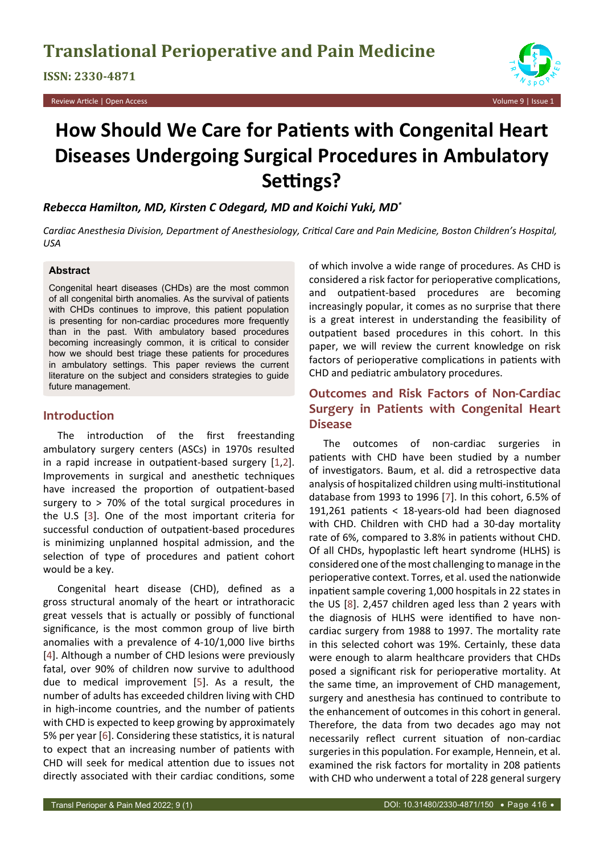**ISSN: 2330-4871**

Review Article | Open Access Volume 9 | Issue 1



# **How Should We Care for Patients with Congenital Heart Diseases Undergoing Surgical Procedures in Ambulatory Settings?**

*Rebecca Hamilton, MD, Kirsten C Odegard, MD and Koichi Yuki, MD\**

*Cardiac Anesthesia Division, Department of Anesthesiology, Critical Care and Pain Medicine, Boston Children's Hospital, USA*

#### **Abstract**

Congenital heart diseases (CHDs) are the most common of all congenital birth anomalies. As the survival of patients with CHDs continues to improve, this patient population is presenting for non-cardiac procedures more frequently than in the past. With ambulatory based procedures becoming increasingly common, it is critical to consider how we should best triage these patients for procedures in ambulatory settings. This paper reviews the current literature on the subject and considers strategies to guide future management.

## **Introduction**

The introduction of the first freestanding ambulatory surgery centers (ASCs) in 1970s resulted in a rapid increase in outpatient-based surgery [[1](#page-3-1),[2](#page-3-2)]. Improvements in surgical and anesthetic techniques have increased the proportion of outpatient-based surgery to > 70% of the total surgical procedures in the U.S [\[3\]](#page-3-3). One of the most important criteria for successful conduction of outpatient-based procedures is minimizing unplanned hospital admission, and the selection of type of procedures and patient cohort would be a key.

Congenital heart disease (CHD), defined as a gross structural anomaly of the heart or intrathoracic great vessels that is actually or possibly of functional significance, is the most common group of live birth anomalies with a prevalence of 4-10/1,000 live births [[4](#page-3-4)]. Although a number of CHD lesions were previously fatal, over 90% of children now survive to adulthood due to medical improvement [[5\]](#page-3-5). As a result, the number of adults has exceeded children living with CHD in high-income countries, and the number of patients with CHD is expected to keep growing by approximately 5% per year [[6](#page-3-6)]. Considering these statistics, it is natural to expect that an increasing number of patients with CHD will seek for medical attention due to issues not directly associated with their cardiac conditions, some

of which involve a wide range of procedures. As CHD is considered a risk factor for perioperative complications, and outpatient-based procedures are becoming increasingly popular, it comes as no surprise that there is a great interest in understanding the feasibility of outpatient based procedures in this cohort. In this paper, we will review the current knowledge on risk factors of perioperative complications in patients with CHD and pediatric ambulatory procedures.

# **Outcomes and Risk Factors of Non-Cardiac Surgery in Patients with Congenital Heart Disease**

The outcomes of non-cardiac surgeries in patients with CHD have been studied by a number of investigators. Baum, et al. did a retrospective data analysis of hospitalized children using multi-institutional database from 1993 to 1996 [[7](#page-3-0)]. In this cohort, 6.5% of 191,261 patients < 18-years-old had been diagnosed with CHD. Children with CHD had a 30-day mortality rate of 6%, compared to 3.8% in patients without CHD. Of all CHDs, hypoplastic left heart syndrome (HLHS) is considered one of the most challenging to manage in the perioperative context. Torres, et al. used the nationwide inpatient sample covering 1,000 hospitals in 22 states in the US [\[8](#page-4-0)]. 2,457 children aged less than 2 years with the diagnosis of HLHS were identified to have noncardiac surgery from 1988 to 1997. The mortality rate in this selected cohort was 19%. Certainly, these data were enough to alarm healthcare providers that CHDs posed a significant risk for perioperative mortality. At the same time, an improvement of CHD management, surgery and anesthesia has continued to contribute to the enhancement of outcomes in this cohort in general. Therefore, the data from two decades ago may not necessarily reflect current situation of non-cardiac surgeries in this population. For example, Hennein, et al. examined the risk factors for mortality in 208 patients with CHD who underwent a total of 228 general surgery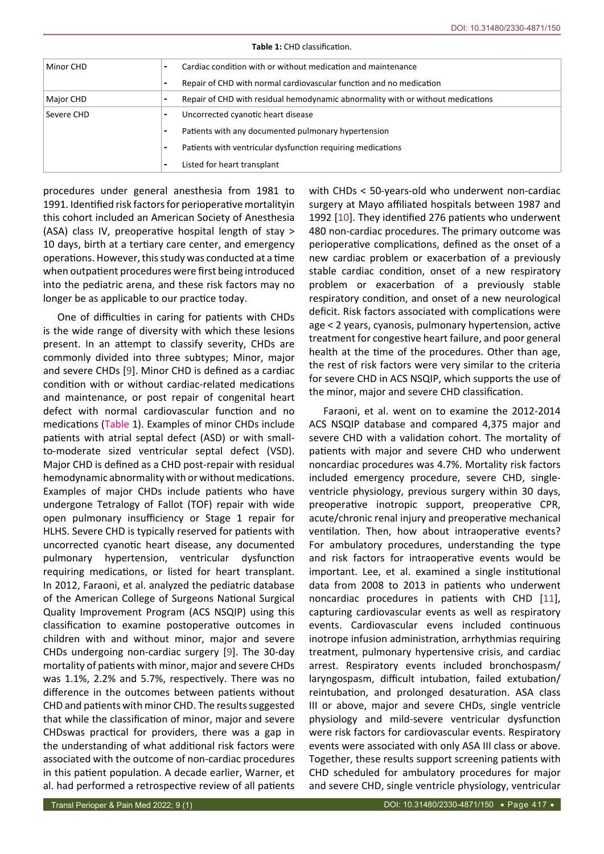| Minor CHD  |                          | Cardiac condition with or without medication and maintenance                    |  |
|------------|--------------------------|---------------------------------------------------------------------------------|--|
|            | $\overline{\phantom{0}}$ | Repair of CHD with normal cardiovascular function and no medication             |  |
| Major CHD  |                          | Repair of CHD with residual hemodynamic abnormality with or without medications |  |
| Severe CHD |                          | Uncorrected cyanotic heart disease                                              |  |
|            |                          | Patients with any documented pulmonary hypertension                             |  |
|            |                          | Patients with ventricular dysfunction requiring medications                     |  |
|            | $\overline{\phantom{0}}$ | Listed for heart transplant                                                     |  |

**Table 1:** CHD classification.

procedures under general anesthesia from 1981 to 1991. Identified risk factors for perioperative mortalityin this cohort included an American Society of Anesthesia (ASA) class IV, preoperative hospital length of stay > 10 days, birth at a tertiary care center, and emergency operations. However, this study was conducted at a time when outpatient procedures were first being introduced into the pediatric arena, and these risk factors may no longer be as applicable to our practice today.

One of difficulties in caring for patients with CHDs is the wide range of diversity with which these lesions present. In an attempt to classify severity, CHDs are commonly divided into three subtypes; Minor, major and severe CHDs [\[9](#page-4-3)]. Minor CHD is defined as a cardiac condition with or without cardiac-related medications and maintenance, or post repair of congenital heart defect with normal cardiovascular function and no medications (Table 1). Examples of minor CHDs include patients with atrial septal defect (ASD) or with smallto-moderate sized ventricular septal defect (VSD). Major CHD is defined as a CHD post-repair with residual hemodynamic abnormality with or without medications. Examples of major CHDs include patients who have undergone Tetralogy of Fallot (TOF) repair with wide open pulmonary insufficiency or Stage 1 repair for HLHS. Severe CHD is typically reserved for patients with uncorrected cyanotic heart disease, any documented pulmonary hypertension, ventricular dysfunction requiring medications, or listed for heart transplant. In 2012, Faraoni, et al. analyzed the pediatric database of the American College of Surgeons National Surgical Quality Improvement Program (ACS NSQIP) using this classification to examine postoperative outcomes in children with and without minor, major and severe CHDs undergoing non-cardiac surgery [\[9\]](#page-4-3). The 30-day mortality of patients with minor, major and severe CHDs was 1.1%, 2.2% and 5.7%, respectively. There was no difference in the outcomes between patients without CHD and patients with minor CHD. The results suggested that while the classification of minor, major and severe CHDswas practical for providers, there was a gap in the understanding of what additional risk factors were associated with the outcome of non-cardiac procedures in this patient population. A decade earlier, Warner, et al. had performed a retrospective review of all patients

with CHDs < 50-years-old who underwent non-cardiac surgery at Mayo affiliated hospitals between 1987 and 1992 [\[10](#page-4-1)]. They identified 276 patients who underwent 480 non-cardiac procedures. The primary outcome was perioperative complications, defined as the onset of a new cardiac problem or exacerbation of a previously stable cardiac condition, onset of a new respiratory problem or exacerbation of a previously stable respiratory condition, and onset of a new neurological deficit. Risk factors associated with complications were age < 2 years, cyanosis, pulmonary hypertension, active treatment for congestive heart failure, and poor general health at the time of the procedures. Other than age, the rest of risk factors were very similar to the criteria for severe CHD in ACS NSQIP, which supports the use of the minor, major and severe CHD classification.

Faraoni, et al. went on to examine the 2012-2014 ACS NSQIP database and compared 4,375 major and severe CHD with a validation cohort. The mortality of patients with major and severe CHD who underwent noncardiac procedures was 4.7%. Mortality risk factors included emergency procedure, severe CHD, singleventricle physiology, previous surgery within 30 days, preoperative inotropic support, preoperative CPR, acute/chronic renal injury and preoperative mechanical ventilation. Then, how about intraoperative events? For ambulatory procedures, understanding the type and risk factors for intraoperative events would be important. Lee, et al. examined a single institutional data from 2008 to 2013 in patients who underwent noncardiac procedures in patients with CHD [\[11\]](#page-4-2), capturing cardiovascular events as well as respiratory events. Cardiovascular evens included continuous inotrope infusion administration, arrhythmias requiring treatment, pulmonary hypertensive crisis, and cardiac arrest. Respiratory events included bronchospasm/ laryngospasm, difficult intubation, failed extubation/ reintubation, and prolonged desaturation. ASA class III or above, major and severe CHDs, single ventricle physiology and mild-severe ventricular dysfunction were risk factors for cardiovascular events. Respiratory events were associated with only ASA III class or above. Together, these results support screening patients with CHD scheduled for ambulatory procedures for major and severe CHD, single ventricle physiology, ventricular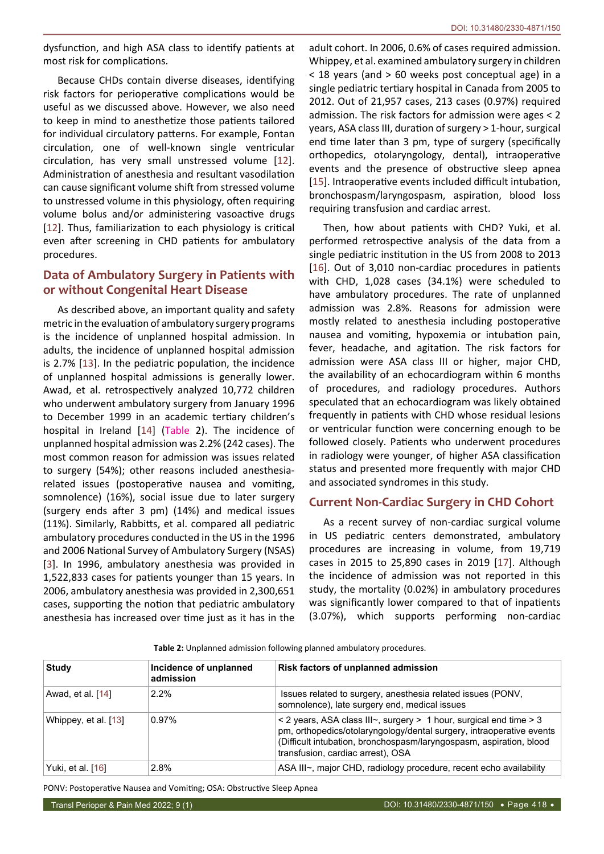dysfunction, and high ASA class to identify patients at most risk for complications.

Because CHDs contain diverse diseases, identifying risk factors for perioperative complications would be useful as we discussed above. However, we also need to keep in mind to anesthetize those patients tailored for individual circulatory patterns. For example, Fontan circulation, one of well-known single ventricular circulation, has very small unstressed volume [\[12](#page-4-7)]. Administration of anesthesia and resultant vasodilation can cause significant volume shift from stressed volume to unstressed volume in this physiology, often requiring volume bolus and/or administering vasoactive drugs [[12](#page-4-7)]. Thus, familiarization to each physiology is critical even after screening in CHD patients for ambulatory procedures.

# **Data of Ambulatory Surgery in Patients with or without Congenital Heart Disease**

As described above, an important quality and safety metric in the evaluation of ambulatory surgery programs is the incidence of unplanned hospital admission. In adults, the incidence of unplanned hospital admission is 2.7% [\[13](#page-4-8)]. In the pediatric population, the incidence of unplanned hospital admissions is generally lower. Awad, et al. retrospectively analyzed 10,772 children who underwent ambulatory surgery from January 1996 to December 1999 in an academic tertiary children's hospital in Ireland [[14](#page-4-9)] (Table 2). The incidence of unplanned hospital admission was 2.2% (242 cases). The most common reason for admission was issues related to surgery (54%); other reasons included anesthesiarelated issues (postoperative nausea and vomiting, somnolence) (16%), social issue due to later surgery (surgery ends after 3 pm) (14%) and medical issues (11%). Similarly, Rabbitts, et al. compared all pediatric ambulatory procedures conducted in the US in the 1996 and 2006 National Survey of Ambulatory Surgery (NSAS) [[3](#page-3-3)]. In 1996, ambulatory anesthesia was provided in 1,522,833 cases for patients younger than 15 years. In 2006, ambulatory anesthesia was provided in 2,300,651 cases, supporting the notion that pediatric ambulatory anesthesia has increased over time just as it has in the adult cohort. In 2006, 0.6% of cases required admission. Whippey, et al. examined ambulatory surgery in children < 18 years (and > 60 weeks post conceptual age) in a single pediatric tertiary hospital in Canada from 2005 to 2012. Out of 21,957 cases, 213 cases (0.97%) required admission. The risk factors for admission were ages < 2 years, ASA class III, duration of surgery > 1-hour, surgical end time later than 3 pm, type of surgery (specifically orthopedics, otolaryngology, dental), intraoperative events and the presence of obstructive sleep apnea [\[15](#page-4-4)]. Intraoperative events included difficult intubation, bronchospasm/laryngospasm, aspiration, blood loss requiring transfusion and cardiac arrest.

Then, how about patients with CHD? Yuki, et al. performed retrospective analysis of the data from a single pediatric institution in the US from 2008 to 2013 [\[16](#page-4-5)]. Out of 3,010 non-cardiac procedures in patients with CHD, 1,028 cases (34.1%) were scheduled to have ambulatory procedures. The rate of unplanned admission was 2.8%. Reasons for admission were mostly related to anesthesia including postoperative nausea and vomiting, hypoxemia or intubation pain, fever, headache, and agitation. The risk factors for admission were ASA class III or higher, major CHD, the availability of an echocardiogram within 6 months of procedures, and radiology procedures. Authors speculated that an echocardiogram was likely obtained frequently in patients with CHD whose residual lesions or ventricular function were concerning enough to be followed closely. Patients who underwent procedures in radiology were younger, of higher ASA classification status and presented more frequently with major CHD and associated syndromes in this study.

## **Current Non-Cardiac Surgery in CHD Cohort**

As a recent survey of non-cardiac surgical volume in US pediatric centers demonstrated, ambulatory procedures are increasing in volume, from 19,719 cases in 2015 to 25,890 cases in 2019 [\[17](#page-4-6)]. Although the incidence of admission was not reported in this study, the mortality (0.02%) in ambulatory procedures was significantly lower compared to that of inpatients (3.07%), which supports performing non-cardiac

**Table 2:** Unplanned admission following planned ambulatory procedures.

| <b>Study</b>         | Incidence of unplanned<br>admission | Risk factors of unplanned admission                                                                                                                                                                                                                                    |
|----------------------|-------------------------------------|------------------------------------------------------------------------------------------------------------------------------------------------------------------------------------------------------------------------------------------------------------------------|
| Awad, et al. [14]    | $2.2\%$                             | Issues related to surgery, anesthesia related issues (PONV,<br>somnolence), late surgery end, medical issues                                                                                                                                                           |
| Whippey, et al. [13] | $0.97\%$                            | $\leq$ 2 years, ASA class III $\sim$ , surgery $>$ 1 hour, surgical end time $>$ 3<br>pm, orthopedics/otolaryngology/dental surgery, intraoperative events<br>(Difficult intubation, bronchospasm/laryngospasm, aspiration, blood<br>transfusion, cardiac arrest), OSA |
| Yuki, et al. [16]    | 2.8%                                | ASA III~, major CHD, radiology procedure, recent echo availability                                                                                                                                                                                                     |

PONV: Postoperative Nausea and Vomiting; OSA: Obstructive Sleep Apnea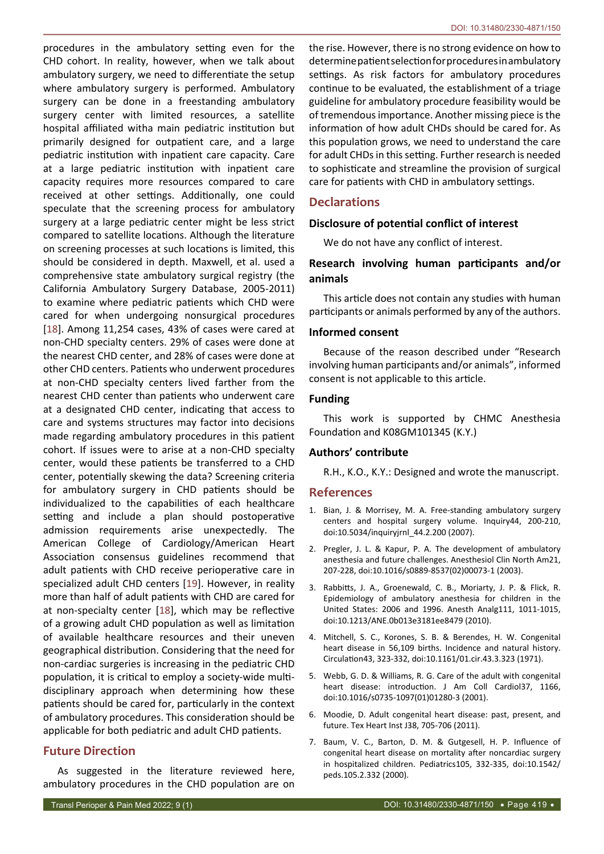procedures in the ambulatory setting even for the CHD cohort. In reality, however, when we talk about ambulatory surgery, we need to differentiate the setup where ambulatory surgery is performed. Ambulatory surgery can be done in a freestanding ambulatory surgery center with limited resources, a satellite hospital affiliated witha main pediatric institution but primarily designed for outpatient care, and a large pediatric institution with inpatient care capacity. Care at a large pediatric institution with inpatient care capacity requires more resources compared to care received at other settings. Additionally, one could speculate that the screening process for ambulatory surgery at a large pediatric center might be less strict compared to satellite locations. Although the literature on screening processes at such locations is limited, this should be considered in depth. Maxwell, et al. used a comprehensive state ambulatory surgical registry (the California Ambulatory Surgery Database, 2005-2011) to examine where pediatric patients which CHD were cared for when undergoing nonsurgical procedures [[18](#page-4-10)]. Among 11,254 cases, 43% of cases were cared at non-CHD specialty centers. 29% of cases were done at the nearest CHD center, and 28% of cases were done at other CHD centers. Patients who underwent procedures at non-CHD specialty centers lived farther from the nearest CHD center than patients who underwent care at a designated CHD center, indicating that access to care and systems structures may factor into decisions made regarding ambulatory procedures in this patient cohort. If issues were to arise at a non-CHD specialty center, would these patients be transferred to a CHD center, potentially skewing the data? Screening criteria for ambulatory surgery in CHD patients should be individualized to the capabilities of each healthcare setting and include a plan should postoperative admission requirements arise unexpectedly. The American College of Cardiology/American Heart Association consensus guidelines recommend that adult patients with CHD receive perioperative care in specialized adult CHD centers [[19\]](#page-4-11). However, in reality more than half of adult patients with CHD are cared for at non-specialty center [[18](#page-4-10)], which may be reflective of a growing adult CHD population as well as limitation of available healthcare resources and their uneven geographical distribution. Considering that the need for non-cardiac surgeries is increasing in the pediatric CHD population, it is critical to employ a society-wide multidisciplinary approach when determining how these patients should be cared for, particularly in the context of ambulatory procedures. This consideration should be applicable for both pediatric and adult CHD patients.

## **Future Direction**

As suggested in the literature reviewed here, ambulatory procedures in the CHD population are on the rise. However, there is no strong evidence on how to determine patient selection for procedures in ambulatory settings. As risk factors for ambulatory procedures continue to be evaluated, the establishment of a triage guideline for ambulatory procedure feasibility would be of tremendous importance. Another missing piece is the information of how adult CHDs should be cared for. As this population grows, we need to understand the care for adult CHDs in this setting. Further research is needed to sophisticate and streamline the provision of surgical care for patients with CHD in ambulatory settings.

# **Declarations**

## **Disclosure of potential conflict of interest**

We do not have any conflict of interest.

# **Research involving human participants and/or animals**

This article does not contain any studies with human participants or animals performed by any of the authors.

#### **Informed consent**

Because of the reason described under "Research involving human participants and/or animals", informed consent is not applicable to this article.

#### **Funding**

This work is supported by CHMC Anesthesia Foundation and K08GM101345 (K.Y.)

#### **Authors' contribute**

R.H., K.O., K.Y.: Designed and wrote the manuscript.

## **References**

- <span id="page-3-1"></span>1. Bian, J. & Morrisey, M. A. Free-standing ambulatory surgery centers and hospital surgery volume. Inquiry44, 200-210, doi:10.5034/inquiryjrnl\_44.2.200 (2007).
- <span id="page-3-2"></span>2. Pregler, J. L. & Kapur, P. A. The development of ambulatory anesthesia and future challenges. Anesthesiol Clin North Am21, 207-228, doi:10.1016/s0889-8537(02)00073-1 (2003).
- <span id="page-3-3"></span>3. Rabbitts, J. A., Groenewald, C. B., Moriarty, J. P. & Flick, R. Epidemiology of ambulatory anesthesia for children in the United States: 2006 and 1996. Anesth Analg111, 1011-1015, doi:10.1213/ANE.0b013e3181ee8479 (2010).
- <span id="page-3-4"></span>4. Mitchell, S. C., Korones, S. B. & Berendes, H. W. Congenital heart disease in 56,109 births. Incidence and natural history. Circulation43, 323-332, doi:10.1161/01.cir.43.3.323 (1971).
- <span id="page-3-5"></span>5. Webb, G. D. & Williams, R. G. Care of the adult with congenital heart disease: introduction. J Am Coll Cardiol37, 1166, doi:10.1016/s0735-1097(01)01280-3 (2001).
- <span id="page-3-6"></span>6. Moodie, D. Adult congenital heart disease: past, present, and future. Tex Heart Inst J38, 705-706 (2011).
- <span id="page-3-0"></span>7. Baum, V. C., Barton, D. M. & Gutgesell, H. P. Influence of congenital heart disease on mortality after noncardiac surgery in hospitalized children. Pediatrics105, 332-335, doi:10.1542/ peds.105.2.332 (2000).